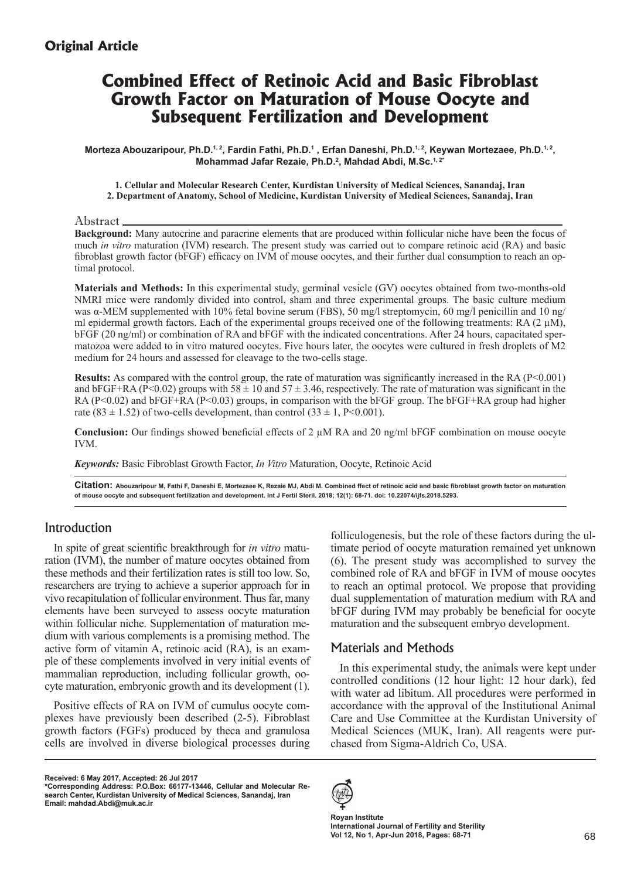## **Original Article**

# **Combined Effect of Retinoic Acid and Basic Fibroblast Growth Factor on Maturation of Mouse Oocyte and Subsequent Fertilization and Development**

Morteza Abouzaripour, Ph.D.1,2, Fardin Fathi, Ph.D.1, Erfan Daneshi, Ph.D.1,2, Keywan Mortezaee, Ph.D.1,2, **Mohammad Jafar Rezaie, Ph.D.<sup>2</sup> , Mahdad Abdi, M.Sc.1, 2\*** 

#### **1. Cellular and Molecular Research Center, Kurdistan University of Medical Sciences, Sanandaj, Iran 2. Department of Anatomy, School of Medicine, Kurdistan University of Medical Sciences, Sanandaj, Iran**

Abstract

**Background:** Many autocrine and paracrine elements that are produced within follicular niche have been the focus of much *in vitro* maturation (IVM) research. The present study was carried out to compare retinoic acid (RA) and basic fibroblast growth factor (bFGF) efficacy on IVM of mouse oocytes, and their further dual consumption to reach an optimal protocol.

**Materials and Methods:** In this experimental study, germinal vesicle (GV) oocytes obtained from two-months-old NMRI mice were randomly divided into control, sham and three experimental groups. The basic culture medium was α-MEM supplemented with 10% fetal bovine serum (FBS), 50 mg/l streptomycin, 60 mg/l penicillin and 10 ng/ ml epidermal growth factors. Each of the experimental groups received one of the following treatments: RA  $(2 \mu M)$ , bFGF (20 ng/ml) or combination of RA and bFGF with the indicated concentrations. After 24 hours, capacitated spermatozoa were added to in vitro matured oocytes. Five hours later, the oocytes were cultured in fresh droplets of M2 medium for 24 hours and assessed for cleavage to the two-cells stage.

**Results:** As compared with the control group, the rate of maturation was significantly increased in the RA (P<0.001) and bFGF+RA (P<0.02) groups with  $58 \pm 10$  and  $57 \pm 3.46$ , respectively. The rate of maturation was significant in the RA (P<0.02) and bFGF+RA (P<0.03) groups, in comparison with the bFGF group. The bFGF+RA group had higher rate (83  $\pm$  1.52) of two-cells development, than control (33  $\pm$  1, P<0.001).

**Conclusion:** Our findings showed beneficial effects of 2 µM RA and 20 ng/ml bFGF combination on mouse oocyte IVM.

*Keywords:* Basic Fibroblast Growth Factor, *In Vitro* Maturation, Oocyte, Retinoic Acid

**Citation: Abouzaripour M, Fathi F, Daneshi E, Mortezaee K, Rezaie MJ, Abdi M. Combined ffect of retinoic acid and basic fibroblast growth factor on maturation of mouse oocyte and subsequent fertilization and development. Int J Fertil Steril. 2018; 12(1): 68-71. doi: 10.22074/ijfs.2018.5293.**

## Introduction

In spite of great scientific breakthrough for *in vitro* maturation (IVM), the number of mature oocytes obtained from these methods and their fertilization rates is still too low. So, researchers are trying to achieve a superior approach for in vivo recapitulation of follicular environment. Thus far, many elements have been surveyed to assess oocyte maturation within follicular niche. Supplementation of maturation medium with various complements is a promising method. The active form of vitamin A, retinoic acid (RA), is an example of these complements involved in very initial events of mammalian reproduction, including follicular growth, oocyte maturation, embryonic growth and its development (1).

Positive effects of RA on IVM of cumulus oocyte complexes have previously been described (2-5). Fibroblast growth factors (FGFs) produced by theca and granulosa cells are involved in diverse biological processes during

**Received: 6 May 2017, Accepted: 26 Jul 2017**

folliculogenesis, but the role of these factors during the ultimate period of oocyte maturation remained yet unknown (6). The present study was accomplished to survey the combined role of RA and bFGF in IVM of mouse oocytes to reach an optimal protocol. We propose that providing dual supplementation of maturation medium with RA and bFGF during IVM may probably be beneficial for oocyte maturation and the subsequent embryo development.

## Materials and Methods

In this experimental study, the animals were kept under controlled conditions (12 hour light: 12 hour dark), fed with water ad libitum. All procedures were performed in accordance with the approval of the Institutional Animal Care and Use Committee at the Kurdistan University of Medical Sciences (MUK, Iran). All reagents were purchased from Sigma-Aldrich Co, USA.



**Royan Institute International Journal of Fertility and Sterility Vol 12, No 1, Apr-Jun 2018, Pages: 68-71**

**<sup>\*</sup>Corresponding Address: P.O.Box: 66177-13446, Cellular and Molecular Research Center, Kurdistan University of Medical Sciences, Sanandaj, Iran Email: mahdad.Abdi@muk.ac.ir**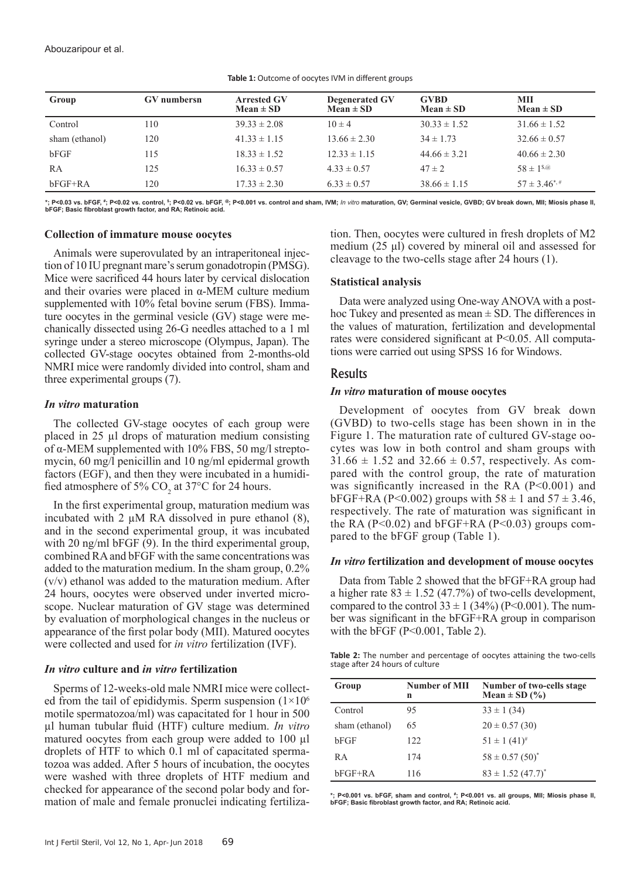| Group          | <b>GV</b> numbersn | <b>Arrested GV</b><br>$Mean \pm SD$ | <b>Degenerated GV</b><br>$Mean \pm SD$ | <b>GVBD</b><br>$Mean \pm SD$ | MII<br>Mean $\pm$ SD    |
|----------------|--------------------|-------------------------------------|----------------------------------------|------------------------------|-------------------------|
| Control        | 110                | $39.33 \pm 2.08$                    | $10 \pm 4$                             | $30.33 \pm 1.52$             | $31.66 \pm 1.52$        |
| sham (ethanol) | 120                | $41.33 \pm 1.15$                    | $13.66 \pm 2.30$                       | $34 \pm 1.73$                | $32.66 \pm 0.57$        |
| bFGF           | 115                | $18.33 \pm 1.52$                    | $12.33 \pm 1.15$                       | $44.66 \pm 3.21$             | $40.66 \pm 2.30$        |
| RA             | 125                | $16.33 \pm 0.57$                    | $4.33 \pm 0.57$                        | $47 \pm 2$                   | $58 \pm 1^{s,\omega}$   |
| bFGF+RA        | 120                | $17.33 \pm 2.30$                    | $6.33 \pm 0.57$                        | $38.66 \pm 1.15$             | $57 \pm 3.46^{\ast,\#}$ |

**Table 1:** Outcome of oocytes IVM in different groups

\*; P<0.03 vs. bFGF, \*; P<0.02 vs. control, <sup>s</sup>; P<0.02 vs. bFGF, ®; P<0.001 vs. control and sham, IVM; *In vitro* maturation, GV; Germinal vesicle, GVBD; GV break down, MII; Miosis phase II, **bFGF; Basic fibroblast growth factor, and RA; Retinoic acid.**

#### **Collection of immature mouse oocytes**

Animals were superovulated by an intraperitoneal injection of 10 IU pregnant mare's serum gonadotropin (PMSG). Mice were sacrificed 44 hours later by cervical dislocation and their ovaries were placed in  $\alpha$ -MEM culture medium supplemented with 10% fetal bovine serum (FBS). Immature oocytes in the germinal vesicle (GV) stage were mechanically dissected using 26-G needles attached to a 1 ml syringe under a stereo microscope (Olympus, Japan). The collected GV-stage oocytes obtained from 2-months-old NMRI mice were randomly divided into control, sham and three experimental groups (7).

#### *In vitro* **maturation**

The collected GV-stage oocytes of each group were placed in 25 µl drops of maturation medium consisting of α-MEM supplemented with 10% FBS, 50 mg/l streptomycin, 60 mg/l penicillin and 10 ng/ml epidermal growth factors (EGF), and then they were incubated in a humidified atmosphere of 5%  $CO<sub>2</sub>$  at 37°C for 24 hours.

In the first experimental group, maturation medium was incubated with 2 µM RA dissolved in pure ethanol (8), and in the second experimental group, it was incubated with 20 ng/ml bFGF (9). In the third experimental group, combined RA and bFGF with the same concentrations was added to the maturation medium. In the sham group, 0.2% (v/v) ethanol was added to the maturation medium. After 24 hours, oocytes were observed under inverted microscope. Nuclear maturation of GV stage was determined by evaluation of morphological changes in the nucleus or appearance of the first polar body (MΙΙ). Matured oocytes were collected and used for *in vitro* fertilization (IVF).

#### *In vitro* **culture and** *in vitro* **fertilization**

Sperms of 12-weeks-old male NMRI mice were collected from the tail of epididymis. Sperm suspension  $(1\times10^6)$ motile spermatozoa/ml) was capacitated for 1 hour in 500 µl human tubular fluid (HTF) culture medium. *In vitro*  matured oocytes from each group were added to 100 µl droplets of HTF to which 0.1 ml of capacitated spermatozoa was added. After 5 hours of incubation, the oocytes were washed with three droplets of HTF medium and checked for appearance of the second polar body and formation of male and female pronuclei indicating fertilization. Then, oocytes were cultured in fresh droplets of M2 medium (25 μl) covered by mineral oil and assessed for cleavage to the two-cells stage after 24 hours (1).

#### **Statistical analysis**

Data were analyzed using One-way ANOVA with a posthoc Tukey and presented as mean  $\pm$  SD. The differences in the values of maturation, fertilization and developmental rates were considered significant at P<0.05. All computations were carried out using SPSS 16 for Windows.

#### Results

#### *In vitro* **maturation of mouse oocytes**

Development of oocytes from GV break down (GVBD) to two-cells stage has been shown in in the Figure 1. The maturation rate of cultured GV-stage oocytes was low in both control and sham groups with  $31.66 \pm 1.52$  and  $32.66 \pm 0.57$ , respectively. As compared with the control group, the rate of maturation was significantly increased in the RA (P<0.001) and  $bFGF+RA (P<0.002)$  groups with  $58 \pm 1$  and  $57 \pm 3.46$ , respectively. The rate of maturation was significant in the RA ( $P<0.02$ ) and  $bFGF+RA$  ( $P<0.03$ ) groups compared to the bFGF group (Table 1).

#### *In vitro* **fertilization and development of mouse oocytes**

Data from Table 2 showed that the bFGF+RA group had a higher rate  $83 \pm 1.52$  (47.7%) of two-cells development, compared to the control  $33 \pm 1$  (34%) (P<0.001). The number was significant in the bFGF+RA group in comparison with the bFGF (P<0.001, Table 2).

**Table 2:** The number and percentage of oocytes attaining the two-cells stage after 24 hours of culture

| Group          | <b>Number of MII</b><br>n | Number of two-cells stage<br>Mean $\pm$ SD $(\% )$ |
|----------------|---------------------------|----------------------------------------------------|
| Control        | 95                        | $33 \pm 1 (34)$                                    |
| sham (ethanol) | 65                        | $20 \pm 0.57(30)$                                  |
| bFGF           | 122                       | $51 \pm 1$ $(41)^{\#}$                             |
| R A            | 174                       | $58 \pm 0.57(50)^*$                                |
| bFGF+RA        | 116                       | $83 \pm 1.52$ (47.7) <sup>*</sup>                  |

**\*; P<0.001 vs. bFGF, sham and control, # ; P<0.001 vs. all groups, MII; Miosis phase II, bFGF; Basic fibroblast growth factor, and RA; Retinoic acid.**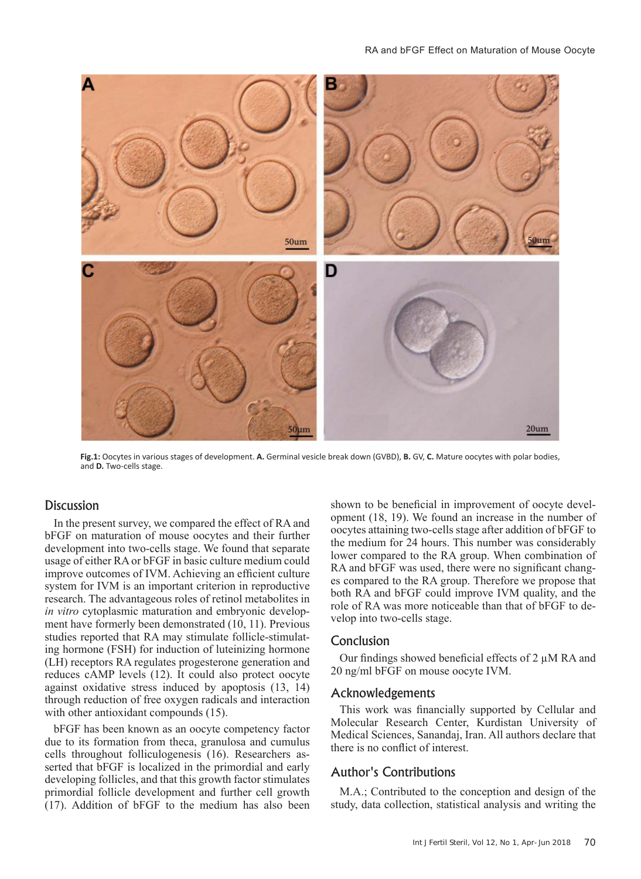

**Fig.1:** Oocytes in various stages of development. **A.** Germinal vesicle break down (GVBD), **B.** GV, **C.** Mature oocytes with polar bodies, and **D.** Two-cells stage.

## **Discussion**

In the present survey, we compared the effect of RA and bFGF on maturation of mouse oocytes and their further development into two-cells stage. We found that separate usage of either RA or bFGF in basic culture medium could improve outcomes of IVM. Achieving an efficient culture system for IVM is an important criterion in reproductive research. The advantageous roles of retinol metabolites in *in vitro* cytoplasmic maturation and embryonic development have formerly been demonstrated (10, 11). Previous studies reported that RA may stimulate follicle-stimulating hormone (FSH) for induction of luteinizing hormone (LH) receptors RA regulates progesterone generation and reduces cAMP levels (12). It could also protect oocyte against oxidative stress induced by apoptosis (13, 14) through reduction of free oxygen radicals and interaction with other antioxidant compounds  $(15)$ .

bFGF has been known as an oocyte competency factor due to its formation from theca, granulosa and cumulus cells throughout folliculogenesis (16). Researchers asserted that bFGF is localized in the primordial and early developing follicles, and that this growth factor stimulates primordial follicle development and further cell growth (17). Addition of bFGF to the medium has also been shown to be beneficial in improvement of oocyte development (18, 19). We found an increase in the number of oocytes attaining two-cells stage after addition of bFGF to the medium for 24 hours. This number was considerably lower compared to the RA group. When combination of RA and bFGF was used, there were no significant changes compared to the RA group. Therefore we propose that both RA and bFGF could improve IVM quality, and the role of RA was more noticeable than that of bFGF to develop into two-cells stage.

## Conclusion

Our findings showed beneficial effects of 2 µM RA and 20 ng/ml bFGF on mouse oocyte IVM.

### Acknowledgements

This work was financially supported by Cellular and Molecular Research Center, Kurdistan University of Medical Sciences, Sanandaj, Iran. All authors declare that there is no conflict of interest.

## Author's Contributions

M.A.; Contributed to the conception and design of the study, data collection, statistical analysis and writing the